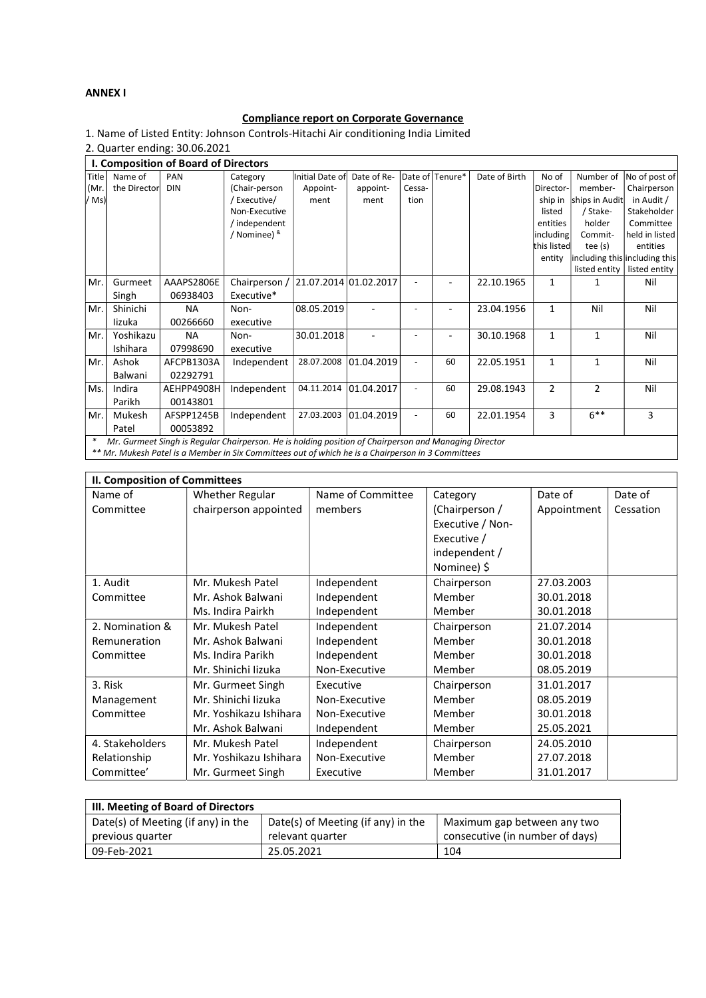## ANNEX I

## Compliance report on Corporate Governance

1. Name of Listed Entity: Johnson Controls-Hitachi Air conditioning India Limited

2. Quarter ending: 30.06.2021

| I. Composition of Board of Directors                                                                            |              |            |                         |                 |                       |        |                 |               |                |                |                               |
|-----------------------------------------------------------------------------------------------------------------|--------------|------------|-------------------------|-----------------|-----------------------|--------|-----------------|---------------|----------------|----------------|-------------------------------|
| Title                                                                                                           | Name of      | PAN        | Category                | Initial Date of | Date of Re-           |        | Date of Tenure* | Date of Birth | No of          | Number of      | No of post of                 |
| (Mr.                                                                                                            | the Director | <b>DIN</b> | (Chair-person           | Appoint-        | appoint-              | Cessa- |                 |               | Director-      | member-        | Chairperson                   |
| /Ms                                                                                                             |              |            | 'Executive/             | ment            | ment                  | tion   |                 |               | ship in        | ships in Audit | in Audit /                    |
|                                                                                                                 |              |            | Non-Executive           |                 |                       |        |                 |               | listed         | / Stake-       | Stakeholder                   |
|                                                                                                                 |              |            | ' independent           |                 |                       |        |                 |               | entities       | holder         | Committee                     |
|                                                                                                                 |              |            | <sup>/</sup> Nominee) & |                 |                       |        |                 |               | including      | Commit-        | held in listed                |
|                                                                                                                 |              |            |                         |                 |                       |        |                 |               | this listed    | tee (s)        | entities                      |
|                                                                                                                 |              |            |                         |                 |                       |        |                 |               | entity         |                | including this including this |
|                                                                                                                 |              |            |                         |                 |                       |        |                 |               |                | listed entity  | listed entity                 |
| Mr.                                                                                                             | Gurmeet      | AAAPS2806E | Chairperson /           |                 | 21.07.2014 01.02.2017 |        |                 | 22.10.1965    | $\mathbf{1}$   | 1              | Nil                           |
|                                                                                                                 | Singh        | 06938403   | Executive*              |                 |                       |        |                 |               |                |                |                               |
| Mr.                                                                                                             | Shinichi     | <b>NA</b>  | Non-                    | 08.05.2019      |                       |        |                 | 23.04.1956    | $\mathbf{1}$   | Nil            | Nil                           |
|                                                                                                                 | lizuka       | 00266660   | executive               |                 |                       |        |                 |               |                |                |                               |
| Mr.                                                                                                             | Yoshikazu    | ΝA         | Non-                    | 30.01.2018      |                       |        |                 | 30.10.1968    | $\mathbf{1}$   | $\mathbf{1}$   | Nil                           |
|                                                                                                                 | Ishihara     | 07998690   | executive               |                 |                       |        |                 |               |                |                |                               |
| Mr.                                                                                                             | Ashok        | AFCPB1303A | Independent             | 28.07.2008      | 01.04.2019            |        | 60              | 22.05.1951    | $\mathbf{1}$   | $\mathbf{1}$   | Nil                           |
|                                                                                                                 | Balwani      | 02292791   |                         |                 |                       |        |                 |               |                |                |                               |
| Ms.                                                                                                             | Indira       | AEHPP4908H | Independent             | 04.11.2014      | 01.04.2017            |        | 60              | 29.08.1943    | $\overline{2}$ | $\overline{2}$ | Nil                           |
|                                                                                                                 | Parikh       | 00143801   |                         |                 |                       |        |                 |               |                |                |                               |
| Mr.                                                                                                             | Mukesh       | AFSPP1245B | Independent             | 27.03.2003      | 01.04.2019            |        | 60              | 22.01.1954    | 3              | $6***$         | 3                             |
|                                                                                                                 | Patel        | 00053892   |                         |                 |                       |        |                 |               |                |                |                               |
| $\ast$<br>Mr. Gurmeet Singh is Regular Chairperson. He is holding position of Chairperson and Managing Director |              |            |                         |                 |                       |        |                 |               |                |                |                               |
| ** Mr. Mukesh Patel is a Member in Six Committees out of which he is a Chairperson in 3 Committees              |              |            |                         |                 |                       |        |                 |               |                |                |                               |

II. Composition of Committees Name of Committee Whether Regular chairperson appointed Name of Committee members Category (Chairperson / Executive / Non-Executive / independent / Nominee) \$ Date of Appointment Date of Cessation 1. Audit Committee Mr. Mukesh Patel Mr. Ashok Balwani Ms. Indira Pairkh Independent Independent Independent Chairperson Member Member 27.03.2003 30.01.2018 30.01.2018 2. Nomination & Remuneration Committee Mr. Mukesh Patel Mr. Ashok Balwani Ms. Indira Parikh Mr. Shinichi Iizuka Independent Independent Independent Non-Executive Chairperson Member Member Member 21.07.2014 30.01.2018 30.01.2018 08.05.2019 3. Risk Management Committee Mr. Gurmeet Singh Mr. Shinichi Iizuka Mr. Yoshikazu Ishihara Mr. Ashok Balwani Executive Non-Executive Non-Executive Independent Chairperson Member Member Member 31.01.2017 08.05.2019 30.01.2018 25.05.2021 4. Stakeholders Relationship Committee' Mr. Mukesh Patel Mr. Yoshikazu Ishihara Mr. Gurmeet Singh Independent Non-Executive Executive Chairperson Member Member 24.05.2010 27.07.2018 31.01.2017

| III. Meeting of Board of Directors |                                    |                                 |  |  |  |
|------------------------------------|------------------------------------|---------------------------------|--|--|--|
| Date(s) of Meeting (if any) in the | Date(s) of Meeting (if any) in the | Maximum gap between any two     |  |  |  |
| previous quarter                   | relevant quarter                   | consecutive (in number of days) |  |  |  |
| 09-Feb-2021                        | 25.05.2021                         | 104                             |  |  |  |